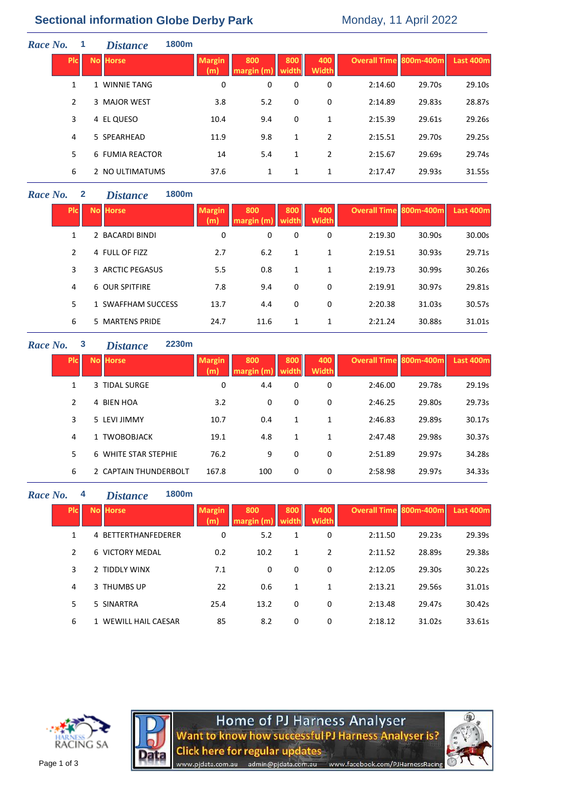# **Sectional information Globe Derby Park** Monday, 11 April 2022

| Race No. | 1          | <b>Distance</b> | 1800m |                      |                   |              |                     |                        |        |           |
|----------|------------|-----------------|-------|----------------------|-------------------|--------------|---------------------|------------------------|--------|-----------|
|          | <b>PIC</b> | <b>No Horse</b> |       | <b>Margin</b><br>(m) | 800<br>margin (m) | 800<br>width | 400<br><b>Width</b> | Overall Time 800m-400m |        | Last 400m |
|          | 1          | 1 WINNIE TANG   |       | 0                    | 0                 | 0            | 0                   | 2:14.60                | 29.70s | 29.10s    |
|          | 2          | 3 MAJOR WEST    |       | 3.8                  | 5.2               | 0            | 0                   | 2:14.89                | 29.83s | 28.87s    |
|          | 3          | 4 EL QUESO      |       | 10.4                 | 9.4               | 0            | 1                   | 2:15.39                | 29.61s | 29.26s    |
|          | 4          | 5 SPEARHEAD     |       | 11.9                 | 9.8               | 1            | 2                   | 2:15.51                | 29.70s | 29.25s    |
|          | 5.         | 6 FUMIA REACTOR |       | 14                   | 5.4               | $\mathbf{1}$ | 2                   | 2:15.67                | 29.69s | 29.74s    |
|          | 6          | 2 NO ULTIMATUMS |       | 37.6                 | 1                 | 1            | 1                   | 2:17.47                | 29.93s | 31.55s    |

## *Race No.* **2** *Distance* **1800m**

| <b>PIC</b>    | <b>No Horse</b>    | <b>Margin</b><br>(m) | 800<br>margin $(m)$ | 800<br>width | 400<br><b>Width</b> | <b>Overall Time 800m-400m</b> |        | Last 400m |
|---------------|--------------------|----------------------|---------------------|--------------|---------------------|-------------------------------|--------|-----------|
| 1             | 2 BACARDI BINDI    | 0                    | 0                   | 0            | 0                   | 2:19.30                       | 30.90s | 30.00s    |
| $\mathcal{P}$ | 4 FULL OF FIZZ     | 2.7                  | 6.2                 | 1            | 1                   | 2:19.51                       | 30.93s | 29.71s    |
| 3             | 3 ARCTIC PEGASUS   | 5.5                  | 0.8                 | 1            | 1                   | 2:19.73                       | 30.99s | 30.26s    |
| 4             | 6 OUR SPITFIRE     | 7.8                  | 9.4                 | 0            | 0                   | 2:19.91                       | 30.97s | 29.81s    |
| 5.            | 1 SWAFFHAM SUCCESS | 13.7                 | 4.4                 | 0            | $\Omega$            | 2:20.38                       | 31.03s | 30.57s    |
| 6             | 5 MARTENS PRIDE    | 24.7                 | 11.6                | 1            | 1                   | 2:21.24                       | 30.88s | 31.01s    |

## *Race No.* **3** *Distance*

| ce |  | 2230m |
|----|--|-------|
|----|--|-------|

| <b>PIC</b> | <b>No Horse</b> |                       | <b>Margin</b><br>(m) | 800<br>margin | 800<br>width | 400<br><b>Width</b> | <b>Overall Time 800m-400m</b> |        | Last 400m |
|------------|-----------------|-----------------------|----------------------|---------------|--------------|---------------------|-------------------------------|--------|-----------|
| 1          | 3 TIDAL SURGE   |                       | 0                    | 4.4           | 0            | 0                   | 2:46.00                       | 29.78s | 29.19s    |
| 2          | 4 BIEN HOA      |                       | 3.2                  | 0             | 0            | 0                   | 2:46.25                       | 29.80s | 29.73s    |
| 3          | 5 LEVI JIMMY    |                       | 10.7                 | 0.4           | 1            | 1                   | 2:46.83                       | 29.89s | 30.17s    |
| 4          |                 | 1 TWOBOBJACK          | 19.1                 | 4.8           | 1            | 1                   | 2:47.48                       | 29.98s | 30.37s    |
| 5.         |                 | 6 WHITE STAR STEPHIE  | 76.2                 | 9             | 0            | 0                   | 2:51.89                       | 29.97s | 34.28s    |
| 6          |                 | 2 CAPTAIN THUNDERBOLT | 167.8                | 100           | 0            | 0                   | 2:58.98                       | 29.97s | 34.33s    |

### *Race No.* **4** *Distance* **1800m**

|            | <i>uuvuv</i> vv      |               |      |              |                     |                        |        |                  |
|------------|----------------------|---------------|------|--------------|---------------------|------------------------|--------|------------------|
| <b>Plc</b> | <b>No Horse</b>      | <b>Margin</b> | 800  | 800<br>width | 400<br><b>Width</b> | Overall Time 800m-400m |        | <b>Last 400m</b> |
| 1          | 4 BETTERTHANFEDERER  | 0             | 5.2  | 1            | 0                   | 2:11.50                | 29.23s | 29.39s           |
| 2          | 6 VICTORY MEDAL      | 0.2           | 10.2 | 1            | 2                   | 2:11.52                | 28.89s | 29.38s           |
| 3          | 2 TIDDLY WINX        | 7.1           | 0    | 0            | 0                   | 2:12.05                | 29.30s | 30.22s           |
| 4          | 3 THUMBS UP          | 22            | 0.6  | 1            | 1                   | 2:13.21                | 29.56s | 31.01s           |
| 5          | 5 SINARTRA           | 25.4          | 13.2 | 0            | 0                   | 2:13.48                | 29.47s | 30.42s           |
| 6          | 1 WEWILL HAIL CAESAR | 85            | 8.2  | 0            | 0                   | 2:18.12                | 31.02s | 33.61s           |





www.pjdata.com.au

Home of PJ Harness Analyser<br>Want to know how successful PJ Harness Analyser is? **Click here for regular updates** admin@pjdata.com.au www.facebook.com/PJHarnessRacing

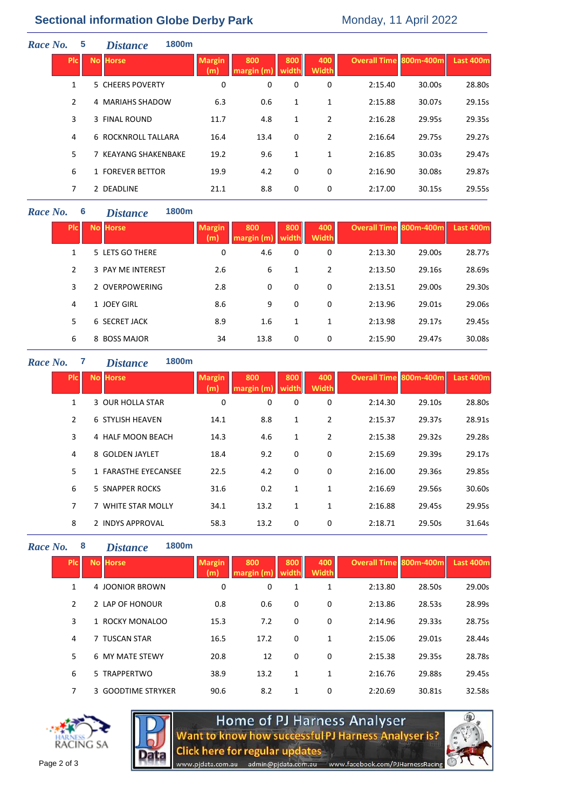## **Sectional information Globe Derby Park Monday, 11 April 2022**

| Race No. |            | $\overline{\mathbf{5}}$ | 1800m<br><b>Distance</b>   |                      |                  |              |                     |                               |        |           |
|----------|------------|-------------------------|----------------------------|----------------------|------------------|--------------|---------------------|-------------------------------|--------|-----------|
|          | <b>PIC</b> |                         | No Horse                   | <b>Margin</b><br>(m) | 800<br>margin(m) | 800<br>width | 400<br><b>Width</b> | <b>Overall Time 800m-400m</b> |        | Last 400m |
|          |            | 1                       | 5 CHEERS POVERTY           | 0                    | 0                | 0            | 0                   | 2:15.40                       | 30.00s | 28.80s    |
|          |            | $\overline{2}$          | 4 MARIAHS SHADOW           | 6.3                  | 0.6              | 1            | 1                   | 2:15.88                       | 30.07s | 29.15s    |
|          |            | 3                       | 3 FINAL ROUND              | 11.7                 | 4.8              | 1            | $\overline{2}$      | 2:16.28                       | 29.95s | 29.35s    |
|          |            | 4                       | <b>6 ROCKNROLL TALLARA</b> | 16.4                 | 13.4             | 0            | 2                   | 2:16.64                       | 29.75s | 29.27s    |
|          |            | 5                       | 7 KEAYANG SHAKENBAKE       | 19.2                 | 9.6              | 1            | 1                   | 2:16.85                       | 30.03s | 29.47s    |
|          |            | 6                       | 1 FOREVER BETTOR           | 19.9                 | 4.2              | 0            | 0                   | 2:16.90                       | 30.08s | 29.87s    |
|          |            | 7                       | 2 DEADLINE                 | 21.1                 | 8.8              | 0            | 0                   | 2:17.00                       | 30.15s | 29.55s    |
|          |            |                         |                            |                      |                  |              |                     |                               |        |           |

## *Race No.* **6** *Distance* **1800m**

| <b>PIC</b> | <b>No Horse</b>      | <b>Margin</b><br>(m) | 800<br>margin (m) | 800<br>width | 400<br><b>Width</b> | <b>Overall Time 800m-400m</b> |        | Last 400m |
|------------|----------------------|----------------------|-------------------|--------------|---------------------|-------------------------------|--------|-----------|
| 1          | 5 LETS GO THERE      | 0                    | 4.6               | 0            | 0                   | 2:13.30                       | 29.00s | 28.77s    |
| 2          | 3 PAY ME INTEREST    | 2.6                  | 6                 | 1            | 2                   | 2:13.50                       | 29.16s | 28.69s    |
| 3          | 2 OVERPOWERING       | 2.8                  | 0                 | 0            | 0                   | 2:13.51                       | 29.00s | 29.30s    |
| 4          | 1 JOEY GIRL          | 8.6                  | 9                 | 0            | 0                   | 2:13.96                       | 29.01s | 29.06s    |
| 5          | <b>6 SECRET JACK</b> | 8.9                  | 1.6               | 1            | 1                   | 2:13.98                       | 29.17s | 29.45s    |
| 6          | 8 BOSS MAJOR         | 34                   | 13.8              | 0            | 0                   | 2:15.90                       | 29.47s | 30.08s    |

#### *Race No.* **7** *Distance* **1800m Plc No Horse Margin Margin (m) 800 margin (m) 800 width 400 Widt Overall Time 800m-400m Last 400m** 1 3 OUR HOLLA STAR 0 0 0 0 2:14.30 29.10s 28.80s 2 6 STYLISH HEAVEN 14.1 8.8 1 2 2:15.37 29.37s 28.91s 3 4 HALF MOON BEACH 14.3 4.6 1 2 2:15.38 29.32s 29.28s 4 8 GOLDEN JAYLET 18.4 9.2 0 0 2:15.69 29.39s 29.17s 5 1 FARASTHE EYECANSEE 22.5 4.2 0 0 2:16.00 29.36s 29.85s 6 5 SNAPPER ROCKS 31.6 0.2 1 1 2:16.69 29.56s 30.60s 7 7 WHITE STAR MOLLY 34.1 13.2 1 1 2:16.88 29.45s 29.95s 8 2 INDYS APPROVAL 58.3 13.2 0 0 2:18.71 29.50s 31.64s

*Race No.* **8** *Distance* **1800m Plc No Horse Margin (m) 800 margin (m) 800 width 400 Width Overall Time 800m-400m Last 400m** 1 4 JOONIOR BROWN 0 0 1 1 2:13.80 28.50s 29.00s 2 2 LAP OF HONOUR 0.8 0.6 0 0 2:13.86 28.53s 28.99s 3 1 ROCKY MONALOO 15.3 7.2 0 0 2:14.96 29.33s 28.75s 4 7 TUSCAN STAR 16.5 17.2 0 1 2:15.06 29.01s 28.44s 5 6 MY MATE STEWY 20.8 12 0 0 2:15.38 29.35s 28.78s 6 5 TRAPPERTWO 38.9 13.2 1 1 2:16.76 29.88s 29.45s 7 3 GOODTIME STRYKER 90.6 8.2 1 0 2:20.69 30.81s 32.58s





ww.pjdata.com.au

Home of PJ Harness Analyser **Nant to know how successful PJ Harness Analyser is?** Click here for regular updates

www.facebook.com/PJHarnessRacing

admin@pjdata.com.au